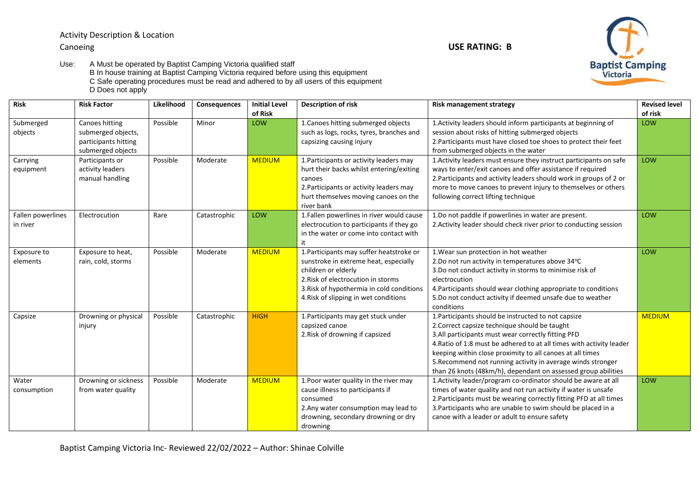Activity Description & Location Canoeing **USE RATING: B**



Use: A Must be operated by Baptist Camping Victoria qualified staff B In house training at Baptist Camping Victoria required before using this equipment C Safe operating procedures must be read and adhered to by all users of this equipment D Does not apply

| Risk                          | <b>Risk Factor</b>                                                                | Likelihood | Consequences | <b>Initial Level</b><br>of Risk | Description of risk                                                                                                                                                                                                                  | Risk management strategy                                                                                                                                                                                                                                                                                                                                                                                                        | <b>Revised level</b><br>of risk |
|-------------------------------|-----------------------------------------------------------------------------------|------------|--------------|---------------------------------|--------------------------------------------------------------------------------------------------------------------------------------------------------------------------------------------------------------------------------------|---------------------------------------------------------------------------------------------------------------------------------------------------------------------------------------------------------------------------------------------------------------------------------------------------------------------------------------------------------------------------------------------------------------------------------|---------------------------------|
| Submerged<br>objects          | Canoes hitting<br>submerged objects,<br>participants hitting<br>submerged objects | Possible   | Minor        | LOW                             | 1. Canoes hitting submerged objects<br>such as logs, rocks, tyres, branches and<br>capsizing causing injury                                                                                                                          | 1. Activity leaders should inform participants at beginning of<br>session about risks of hitting submerged objects<br>2. Participants must have closed toe shoes to protect their feet<br>from submerged objects in the water                                                                                                                                                                                                   | LOW                             |
| Carrying<br>equipment         | Participants or<br>activity leaders<br>manual handling                            | Possible   | Moderate     | <b>MEDIUM</b>                   | 1. Participants or activity leaders may<br>hurt their backs whilst entering/exiting<br>canoes<br>2. Participants or activity leaders may<br>hurt themselves moving canoes on the<br>river bank                                       | 1. Activity leaders must ensure they instruct participants on safe<br>ways to enter/exit canoes and offer assistance if required<br>2. Participants and activity leaders should work in groups of 2 or<br>more to move canoes to prevent injury to themselves or others<br>following correct lifting technique                                                                                                                  | LOW                             |
| Fallen powerlines<br>in river | Electrocution                                                                     | Rare       | Catastrophic | LOW                             | 1.Fallen powerlines in river would cause<br>electrocution to participants if they go<br>in the water or come into contact with<br>it                                                                                                 | 1.Do not paddle if powerlines in water are present.<br>2. Activity leader should check river prior to conducting session                                                                                                                                                                                                                                                                                                        | LOW                             |
| Exposure to<br>elements       | Exposure to heat,<br>rain, cold, storms                                           | Possible   | Moderate     | <b>MEDIUM</b>                   | 1. Participants may suffer heatstroke or<br>sunstroke in extreme heat, especially<br>children or elderly<br>2. Risk of electrocution in storms<br>3. Risk of hypothermia in cold conditions<br>4. Risk of slipping in wet conditions | 1. Wear sun protection in hot weather<br>2.Do not run activity in temperatures above 34°C<br>3.Do not conduct activity in storms to minimise risk of<br>electrocution<br>4. Participants should wear clothing appropriate to conditions<br>5.Do not conduct activity if deemed unsafe due to weather<br>conditions                                                                                                              | LOW                             |
| Capsize                       | Drowning or physical<br>injury                                                    | Possible   | Catastrophic | <b>HIGH</b>                     | 1. Participants may get stuck under<br>capsized canoe<br>2. Risk of drowning if capsized                                                                                                                                             | 1. Participants should be instructed to not capsize<br>2. Correct capsize technique should be taught<br>3.All participants must wear correctly fitting PFD<br>4. Ratio of 1:8 must be adhered to at all times with activity leader<br>keeping within close proximity to all canoes at all times<br>5. Recommend not running activity in average winds stronger<br>than 26 knots (48km/h), dependant on assessed group abilities | <b>MEDIUM</b>                   |
| Water<br>consumption          | Drowning or sickness<br>from water quality                                        | Possible   | Moderate     | <b>MEDIUM</b>                   | 1. Poor water quality in the river may<br>cause illness to participants if<br>consumed<br>2. Any water consumption may lead to<br>drowning, secondary drowning or dry<br>drowning                                                    | 1. Activity leader/program co-ordinator should be aware at all<br>times of water quality and not run activity if water is unsafe<br>2. Participants must be wearing correctly fitting PFD at all times<br>3. Participants who are unable to swim should be placed in a<br>canoe with a leader or adult to ensure safety                                                                                                         | LOW                             |

Baptist Camping Victoria Inc- Reviewed 22/02/2022 – Author: Shinae Colville